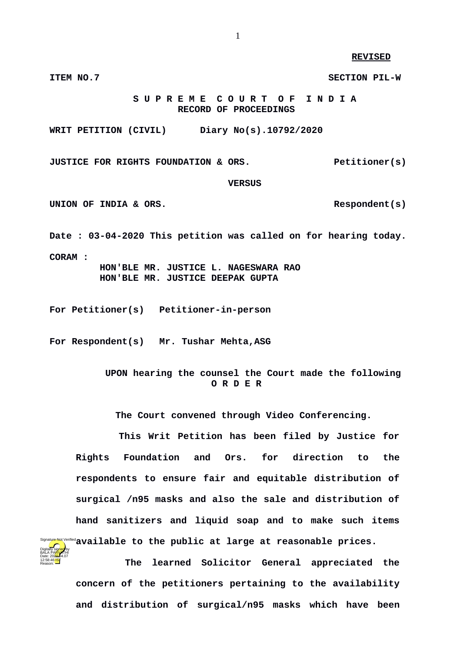**REVISED**

 **S U P R E M E C O U R T O F I N D I A RECORD OF PROCEEDINGS**

**WRIT PETITION (CIVIL) Diary No(s).10792/2020**

**JUSTICE FOR RIGHTS FOUNDATION & ORS.** Petitioner(s)

**ITEM NO.7 SECTION PIL-W**

 **VERSUS**

UNION OF INDIA & ORS.

**Date : 03-04-2020 This petition was called on for hearing today. CORAM : HON'BLE MR. JUSTICE L. NAGESWARA RAO HON'BLE MR. JUSTICE DEEPAK GUPTA**

**For Petitioner(s) Petitioner-in-person**

**For Respondent(s) Mr. Tushar Mehta,ASG**

 **UPON hearing the counsel the Court made the following O R D E R**

**The Court convened through Video Conferencing.**

 **This Writ Petition has been filed by Justice for Rights Foundation and Ors. for direction to the respondents to ensure fair and equitable distribution of surgical /n95 masks and also the sale and distribution of hand sanitizers and liquid soap and to make such items available to the public at large at reasonable prices.** 



 **The learned Solicitor General appreciated the concern of the petitioners pertaining to the availability and distribution of surgical/n95 masks which have been**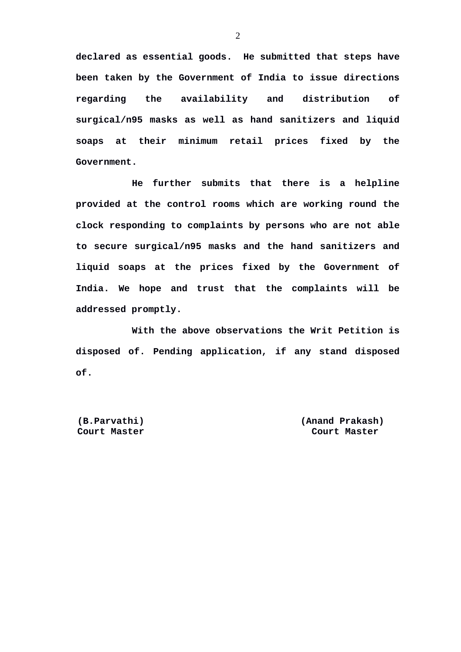**declared as essential goods. He submitted that steps have been taken by the Government of India to issue directions regarding the availability and distribution of surgical/n95 masks as well as hand sanitizers and liquid soaps at their minimum retail prices fixed by the Government.** 

**He further submits that there is a helpline provided at the control rooms which are working round the clock responding to complaints by persons who are not able to secure surgical/n95 masks and the hand sanitizers and liquid soaps at the prices fixed by the Government of India. We hope and trust that the complaints will be addressed promptly.** 

**With the above observations the Writ Petition is disposed of. Pending application, if any stand disposed of.**

 **Court Master Court Master**

 **(B.Parvathi) (Anand Prakash)**

2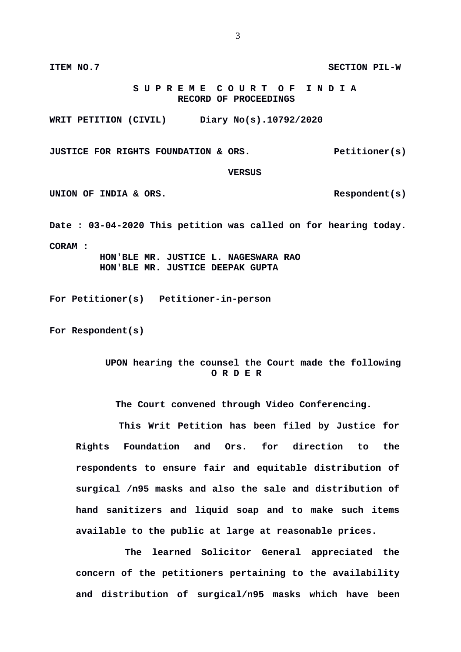**S U P R E M E C O U R T O F I N D I A RECORD OF PROCEEDINGS**

**WRIT PETITION (CIVIL) Diary No(s).10792/2020**

**JUSTICE FOR RIGHTS FOUNDATION & ORS.** Petitioner(s)

## **VERSUS**

UNION OF INDIA & ORS.

**Date : 03-04-2020 This petition was called on for hearing today. CORAM : HON'BLE MR. JUSTICE L. NAGESWARA RAO HON'BLE MR. JUSTICE DEEPAK GUPTA**

**For Petitioner(s) Petitioner-in-person**

**For Respondent(s)**

## **UPON hearing the counsel the Court made the following O R D E R**

**The Court convened through Video Conferencing.**

 **This Writ Petition has been filed by Justice for Rights Foundation and Ors. for direction to the respondents to ensure fair and equitable distribution of surgical /n95 masks and also the sale and distribution of hand sanitizers and liquid soap and to make such items available to the public at large at reasonable prices.** 

 **The learned Solicitor General appreciated the concern of the petitioners pertaining to the availability and distribution of surgical/n95 masks which have been**